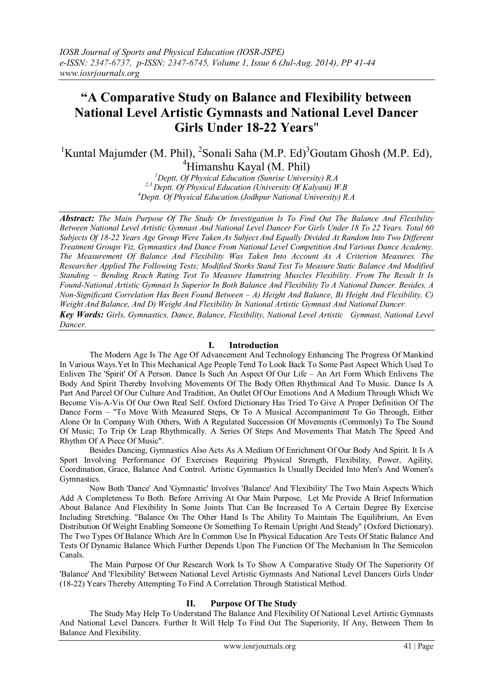# **"A Comparative Study on Balance and Flexibility between National Level Artistic Gymnasts and National Level Dancer Girls Under 18-22 Years**"

<sup>1</sup>Kuntal Majumder (M. Phil), <sup>2</sup>Sonali Saha (M.P. Ed)<sup>3</sup>Goutam Ghosh (M.P. Ed),  $4$ Himanshu Kayal (M. Phil)

> *<sup>1</sup>Deptt, Of Physical Education (Sunrise University) R.A 2,3 Deptt. Of Physical Education (University Of Kalyani) W.B <sup>4</sup>Deptt. Of Physical Education.(Jodhpur National University) R.A*

*Abstract: The Main Purpose Of The Study Or Investigation Is To Find Out The Balance And Flexibility Between National Level Artistic Gymnast And National Level Dancer For Girls Under 18 To 22 Years. Total 60 Subjects Of 18-22 Years Age Group Were Taken As Subject And Equally Divided At Random Into Two Different Treatment Groups Viz, Gymnastics And Dance From National Level Competition And Various Dance Academy. The Measurement Of Balance And Flexibility Was Taken Into Account As A Criterion Measures. The Researcher Applied The Following Tests; Modified Storks Stand Test To Measure Static Balance And Modified Standing – Bending Reach Rating Test To Measure Hamstring Muscles Flexibility. From The Result It Is Found-National Artistic Gymnast Is Superior In Both Balance And Flexibility To A National Dancer. Besides, A Non-Significant Correlation Has Been Found Between – A) Height And Balance, B) Height And Flexibility, C) Weight And Balance, And D) Weight And Flexibility In National Artistic Gymnast And National Dancer. Key Words: Girls, Gymnastics, Dance, Balance, Flexibility, National Level Artistic Gymnast, National Level Dancer.*

# **I. Introduction**

The Modern Age Is The Age Of Advancement And Technology Enhancing The Progress Of Mankind In Various Ways.Yet In This Mechanical Age People Tend To Look Back To Some Past Aspect Which Used To Enliven The 'Spirit' Of A Person. Dance Is Such An Aspect Of Our Life – An Art Form Which Enlivens The Body And Spirit Thereby Involving Movements Of The Body Often Rhythmical And To Music. Dance Is A Part And Parcel Of Our Culture And Tradition, An Outlet Of Our Emotions And A Medium Through Which We Become Vis-A-Vis Of Our Own Real Self. Oxford Dictionary Has Tried To Give A Proper Definition Of The Dance Form – "To Move With Measured Steps, Or To A Musical Accompaniment To Go Through, Either Alone Or In Company With Others, With A Regulated Succession Of Movements (Commonly) To The Sound Of Music; To Trip Or Leap Rhythmically. A Series Of Steps And Movements That Match The Speed And Rhythm Of A Piece Of Music".

Besides Dancing, Gymnastics Also Acts As A Medium Of Enrichment Of Our Body And Spirit. It Is A Sport Involving Performance Of Exercises Requiring Physical Strength, Flexibility, Power, Agility, Coordination, Grace, Balance And Control. Artistic Gymnastics Is Usually Decided Into Men's And Women's Gymnastics.

Now Both 'Dance' And 'Gymnastic' Involves 'Balance' And 'Flexibility' The Two Main Aspects Which Add A Completeness To Both. Before Arriving At Our Main Purpose, Let Me Provide A Brief Information About Balance And Flexibility In Some Joints That Can Be Increased To A Certain Degree By Exercise Including Stretching. "Balance On The Other Hand Is The Ability To Maintain The Equilibrium, An Even Distribution Of Weight Enabling Someone Or Something To Remain Upright And Steady" (Oxford Dictionary). The Two Types Of Balance Which Are In Common Use In Physical Education Are Tests Of Static Balance And Tests Of Dynamic Balance Which Further Depends Upon The Function Of The Mechanism In The Semicolon Canals.

The Main Purpose Of Our Research Work Is To Show A Comparative Study Of The Superiority Of 'Balance' And 'Flexibility' Between National Level Artistic Gymnasts And National Level Dancers Girls Under (18-22) Years Thereby Attempting To Find A Correlation Through Statistical Method.

# **II. Purpose Of The Study**

The Study May Help To Understand The Balance And Flexibility Of National Level Artistic Gymnasts And National Level Dancers. Further It Will Help To Find Out The Superiority, If Any, Between Them In Balance And Flexibility.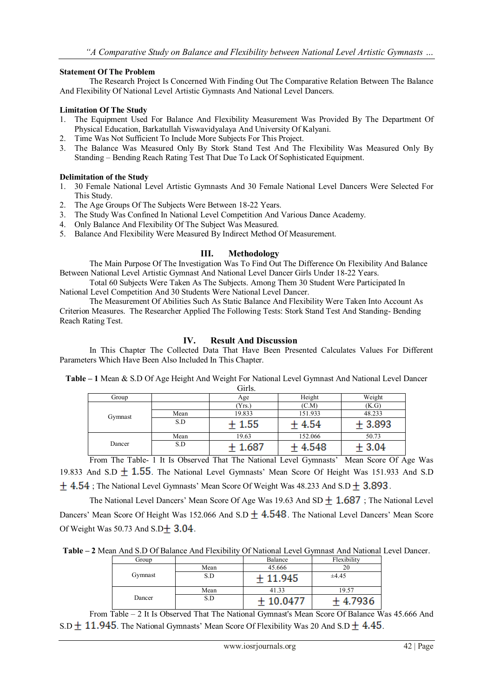## **Statement Of The Problem**

The Research Project Is Concerned With Finding Out The Comparative Relation Between The Balance And Flexibility Of National Level Artistic Gymnasts And National Level Dancers.

## **Limitation Of The Study**

- 1. The Equipment Used For Balance And Flexibility Measurement Was Provided By The Department Of Physical Education, Barkatullah Viswavidyalaya And University Of Kalyani.
- 2. Time Was Not Sufficient To Include More Subjects For This Project.
- 3. The Balance Was Measured Only By Stork Stand Test And The Flexibility Was Measured Only By Standing – Bending Reach Rating Test That Due To Lack Of Sophisticated Equipment.

## **Delimitation of the Study**

- 1. 30 Female National Level Artistic Gymnasts And 30 Female National Level Dancers Were Selected For This Study.
- 2. The Age Groups Of The Subjects Were Between 18-22 Years.
- 3. The Study Was Confined In National Level Competition And Various Dance Academy.
- 4. Only Balance And Flexibility Of The Subject Was Measured.
- 5. Balance And Flexibility Were Measured By Indirect Method Of Measurement.

# **III. Methodology**

The Main Purpose Of The Investigation Was To Find Out The Difference On Flexibility And Balance Between National Level Artistic Gymnast And National Level Dancer Girls Under 18-22 Years.

Total 60 Subjects Were Taken As The Subjects. Among Them 30 Student Were Participated In National Level Competition And 30 Students Were National Level Dancer.

The Measurement Of Abilities Such As Static Balance And Flexibility Were Taken Into Account As Criterion Measures. The Researcher Applied The Following Tests: Stork Stand Test And Standing- Bending Reach Rating Test.

# **IV. Result And Discussion**

In This Chapter The Collected Data That Have Been Presented Calculates Values For Different Parameters Which Have Been Also Included In This Chapter.

**Table – 1** Mean & S.D Of Age Height And Weight For National Level Gymnast And National Level Dancer Girls.

|         |      | <b>OHID.</b> |         |          |
|---------|------|--------------|---------|----------|
| Group   |      | Age          | Height  | Weight   |
| Gymnast |      | (Yrs.)       | (C.M)   | (K.G)    |
|         | Mean | 19.833       | 151.933 | 48.233   |
|         | S.D  | 1.55         | 4.54    | $+3.893$ |
| Dancer  | Mean | 19.63        | 152.066 | 50.73    |
|         | S.D  | 1.687        | 4.548   | $-3.04$  |

From The Table- 1 It Is Observed That The National Level Gymnasts' Mean Score Of Age Was 19.833 And S.D  $\pm$  1.55. The National Level Gymnasts' Mean Score Of Height Was 151.933 And S.D  $\pm$  4.54; The National Level Gymnasts' Mean Score Of Weight Was 48.233 And S.D  $\pm$  3.893.

The National Level Dancers' Mean Score Of Age Was 19.63 And SD  $\pm$  1.687; The National Level Dancers' Mean Score Of Height Was 152.066 And S.D  $+$  4.548. The National Level Dancers' Mean Score Of Weight Was 50.73 And  $S.D \pm 3.04$ .

**Table – 2** Mean And S.D Of Balance And Flexibility Of National Level Gymnast And National Level Dancer.

| Group   |      | Balance | Flexibility |
|---------|------|---------|-------------|
|         | Mean | 45.666  |             |
| Gymnast | S.D  | 11.945  | ±4.45       |
|         | Mean | 41.33   | 19.57       |
| Dancer  | S.D  | 10 0477 | 4.7936      |

From Table – 2 It Is Observed That The National Gymnast's Mean Score Of Balance Was 45.666 And S.D  $\pm$  11.945. The National Gymnasts' Mean Score Of Flexibility Was 20 And S.D  $\pm$  4.45.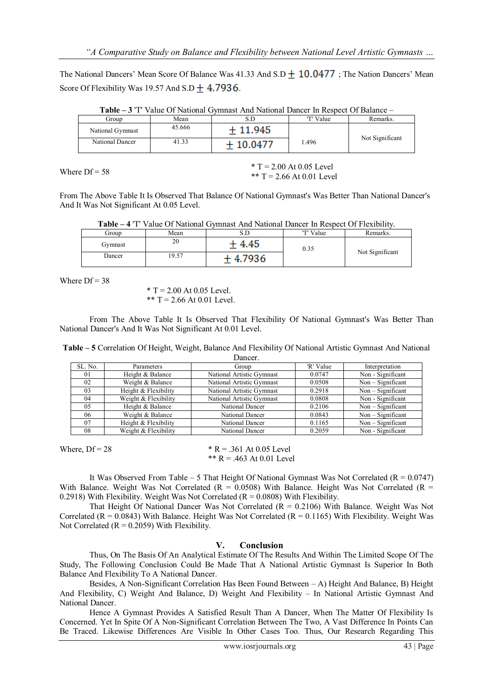The National Dancers' Mean Score Of Balance Was  $41.33$  And  $S.D + 10.0477$ ; The Nation Dancers' Mean Score Of Flexibility Was 19.57 And S.D  $+$  4.7936.

| <b>Table – 3</b> T value Of National Gymniast And National Dancel in Respect Of Balance – |        |           |           |                 |
|-------------------------------------------------------------------------------------------|--------|-----------|-----------|-----------------|
| Group                                                                                     | Mean   | S.D       | 'T' Value | Remarks.        |
| National Gymnast                                                                          | 45.666 | $+11.945$ |           | Not Significant |
| National Dancer                                                                           | 41.33  | + 10 0477 | 1.496     |                 |

**Table – 3** 'T' Value Of National Gymnast And National Dancer In Respect Of Balance –

Where  $Df = 58$  \* T = 2.00 At 0.05 Level \*\*  $T = 2.66$  At 0.01 Level

From The Above Table It Is Observed That Balance Of National Gymnast's Was Better Than National Dancer's And It Was Not Significant At 0.05 Level.

**Table – 4** 'T' Value Of National Gymnast And National Dancer In Respect Of Flexibility.

| Group   | Mean  | ىن ق       | 'T' Value | Remarks.        |
|---------|-------|------------|-----------|-----------------|
| Gymnast | 20    | 4.45       | 0.35      |                 |
| Dancer  | 19.57 | 7936<br>л. |           | Not Significant |

Where  $Df = 38$ 

 $* T = 2.00$  At 0.05 Level. \*\*  $T = 2.66$  At 0.01 Level.

From The Above Table It Is Observed That Flexibility Of National Gymnast's Was Better Than National Dancer's And It Was Not Significant At 0.01 Level.

| Table - 5 Correlation Of Height, Weight, Balance And Flexibility Of National Artistic Gymnast And National |  |  |  |
|------------------------------------------------------------------------------------------------------------|--|--|--|
|------------------------------------------------------------------------------------------------------------|--|--|--|

| Dancer. |                      |                           |           |                   |  |
|---------|----------------------|---------------------------|-----------|-------------------|--|
| SL. No. | Parameters           | Group                     | 'R' Value | Interpretation    |  |
| 01      | Height & Balance     | National Artistic Gymnast | 0.0747    | Non - Significant |  |
| 02      | Weight & Balance     | National Artistic Gymnast | 0.0508    | $Non-Significant$ |  |
| 03      | Height & Flexibility | National Artistic Gymnast | 0.2918    | $Non-Significant$ |  |
| 04      | Weight & Flexibility | National Artistic Gymnast | 0.0808    | Non - Significant |  |
| 0.5     | Height & Balance     | National Dancer           | 0.2106    | $Non-Significant$ |  |
| 06      | Weight & Balance     | National Dancer           | 0.0843    | $Non-Significant$ |  |
| 07      | Height & Flexibility | National Dancer           | 0.1165    | $Non-Significant$ |  |
| 08      | Weight & Flexibility | National Dancer           | 0.2059    | Non - Significant |  |

It Was Observed From Table – 5 That Height Of National Gymnast Was Not Correlated ( $R = 0.0747$ ) With Balance. Weight Was Not Correlated ( $R = 0.0508$ ) With Balance. Height Was Not Correlated ( $R = 0.0508$ ) 0.2918) With Flexibility. Weight Was Not Correlated  $(R = 0.0808)$  With Flexibility.

That Height Of National Dancer Was Not Correlated  $(R = 0.2106)$  With Balance. Weight Was Not Correlated ( $R = 0.0843$ ) With Balance. Height Was Not Correlated ( $R = 0.1165$ ) With Flexibility. Weight Was Not Correlated  $(R = 0.2059)$  With Flexibility.

### **V. Conclusion**

Thus, On The Basis Of An Analytical Estimate Of The Results And Within The Limited Scope Of The Study, The Following Conclusion Could Be Made That A National Artistic Gymnast Is Superior In Both Balance And Flexibility To A National Dancer.

Besides, A Non-Significant Correlation Has Been Found Between – A) Height And Balance, B) Height And Flexibility, C) Weight And Balance, D) Weight And Flexibility – In National Artistic Gymnast And National Dancer.

Hence A Gymnast Provides A Satisfied Result Than A Dancer, When The Matter Of Flexibility Is Concerned. Yet In Spite Of A Non-Significant Correlation Between The Two, A Vast Difference In Points Can Be Traced. Likewise Differences Are Visible In Other Cases Too. Thus, Our Research Regarding This

Where,  $Df = 28$  \* R = .361 At 0.05 Level \*\*  $R = .463$  At 0.01 Level